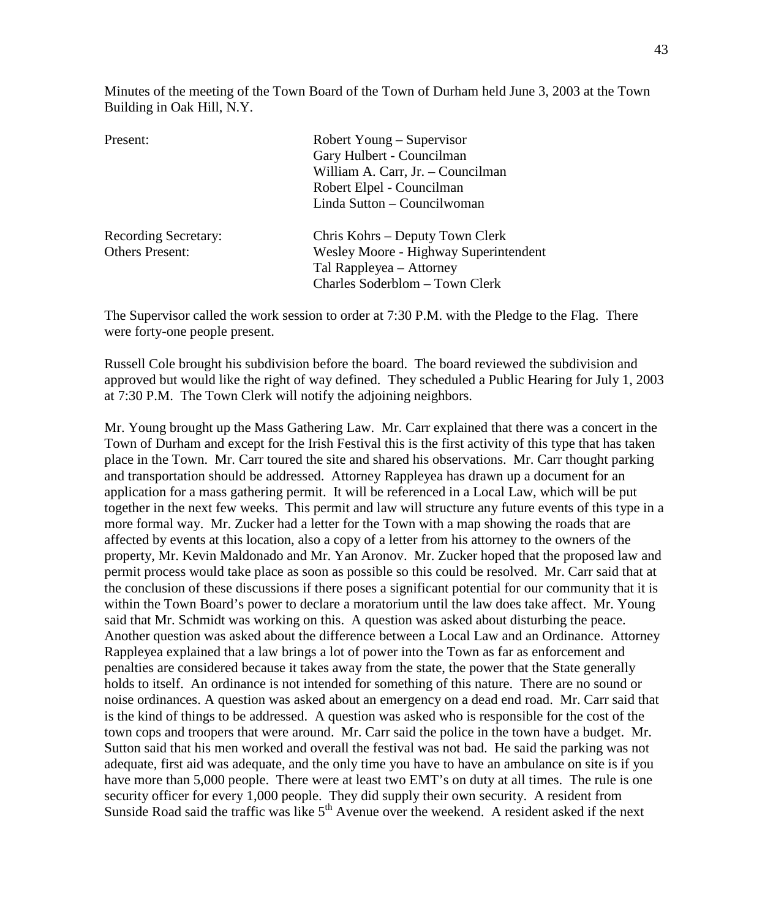Minutes of the meeting of the Town Board of the Town of Durham held June 3, 2003 at the Town Building in Oak Hill, N.Y.

| Present:                    | Robert Young – Supervisor             |
|-----------------------------|---------------------------------------|
|                             | Gary Hulbert - Councilman             |
|                             | William A. Carr, Jr. - Councilman     |
|                             | Robert Elpel - Councilman             |
|                             | Linda Sutton – Councilwoman           |
| <b>Recording Secretary:</b> | Chris Kohrs – Deputy Town Clerk       |
| <b>Others Present:</b>      | Wesley Moore - Highway Superintendent |
|                             | Tal Rappleyea – Attorney              |
|                             | Charles Soderblom - Town Clerk        |
|                             |                                       |

The Supervisor called the work session to order at 7:30 P.M. with the Pledge to the Flag. There were forty-one people present.

Russell Cole brought his subdivision before the board. The board reviewed the subdivision and approved but would like the right of way defined. They scheduled a Public Hearing for July 1, 2003 at 7:30 P.M. The Town Clerk will notify the adjoining neighbors.

Mr. Young brought up the Mass Gathering Law. Mr. Carr explained that there was a concert in the Town of Durham and except for the Irish Festival this is the first activity of this type that has taken place in the Town. Mr. Carr toured the site and shared his observations. Mr. Carr thought parking and transportation should be addressed. Attorney Rappleyea has drawn up a document for an application for a mass gathering permit. It will be referenced in a Local Law, which will be put together in the next few weeks. This permit and law will structure any future events of this type in a more formal way. Mr. Zucker had a letter for the Town with a map showing the roads that are affected by events at this location, also a copy of a letter from his attorney to the owners of the property, Mr. Kevin Maldonado and Mr. Yan Aronov. Mr. Zucker hoped that the proposed law and permit process would take place as soon as possible so this could be resolved. Mr. Carr said that at the conclusion of these discussions if there poses a significant potential for our community that it is within the Town Board's power to declare a moratorium until the law does take affect. Mr. Young said that Mr. Schmidt was working on this. A question was asked about disturbing the peace. Another question was asked about the difference between a Local Law and an Ordinance. Attorney Rappleyea explained that a law brings a lot of power into the Town as far as enforcement and penalties are considered because it takes away from the state, the power that the State generally holds to itself. An ordinance is not intended for something of this nature. There are no sound or noise ordinances. A question was asked about an emergency on a dead end road. Mr. Carr said that is the kind of things to be addressed. A question was asked who is responsible for the cost of the town cops and troopers that were around. Mr. Carr said the police in the town have a budget. Mr. Sutton said that his men worked and overall the festival was not bad. He said the parking was not adequate, first aid was adequate, and the only time you have to have an ambulance on site is if you have more than 5,000 people. There were at least two EMT's on duty at all times. The rule is one security officer for every 1,000 people. They did supply their own security. A resident from Sunside Road said the traffic was like  $5<sup>th</sup>$  Avenue over the weekend. A resident asked if the next